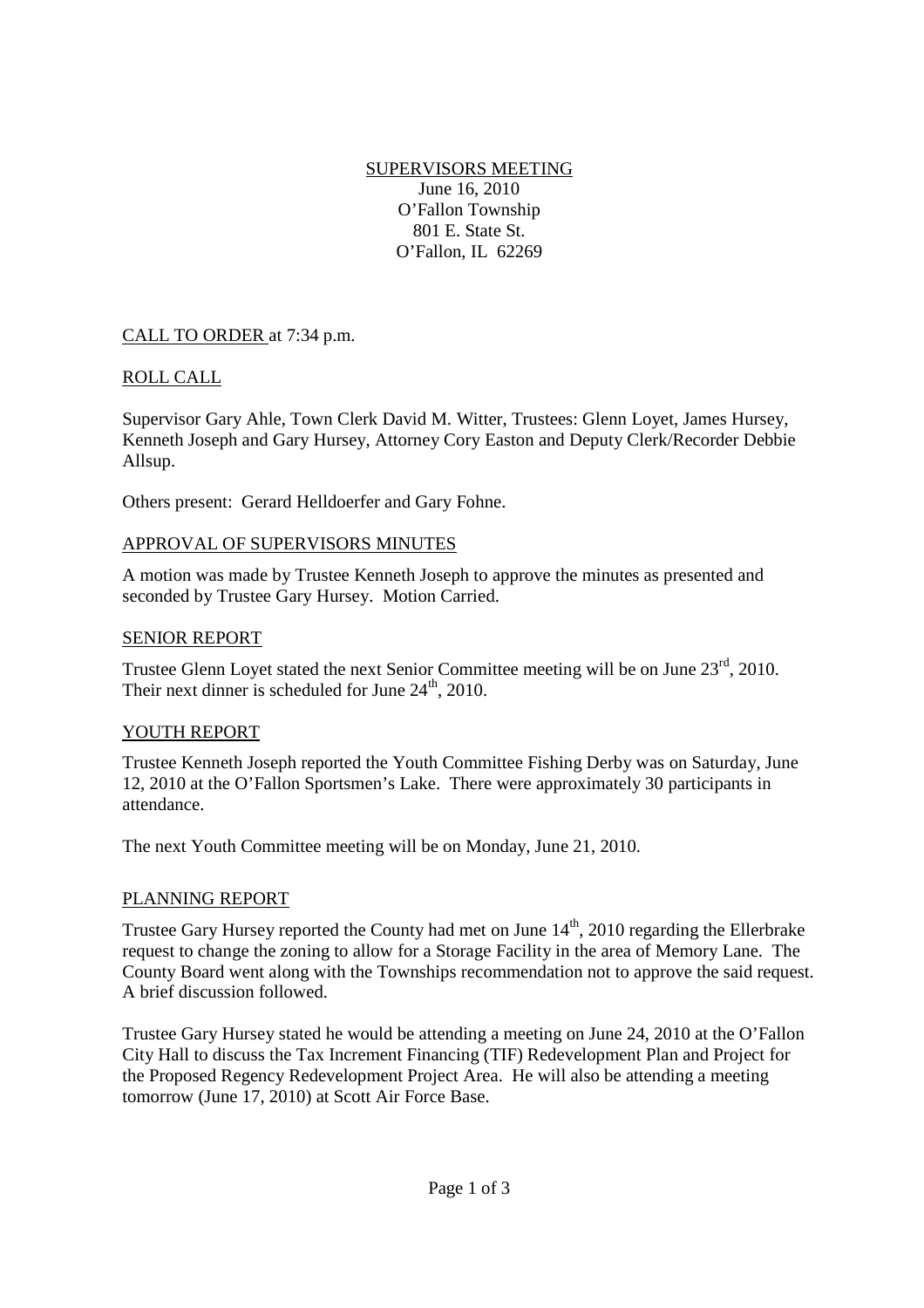SUPERVISORS MEETING June 16, 2010 O'Fallon Township 801 E. State St. O'Fallon, IL 62269

# CALL TO ORDER at 7:34 p.m.

## ROLL CALL

Supervisor Gary Ahle, Town Clerk David M. Witter, Trustees: Glenn Loyet, James Hursey, Kenneth Joseph and Gary Hursey, Attorney Cory Easton and Deputy Clerk/Recorder Debbie Allsup.

Others present: Gerard Helldoerfer and Gary Fohne.

### APPROVAL OF SUPERVISORS MINUTES

A motion was made by Trustee Kenneth Joseph to approve the minutes as presented and seconded by Trustee Gary Hursey. Motion Carried.

### SENIOR REPORT

Trustee Glenn Loyet stated the next Senior Committee meeting will be on June 23<sup>rd</sup>, 2010. Their next dinner is scheduled for June  $24<sup>th</sup>$ , 2010.

### YOUTH REPORT

Trustee Kenneth Joseph reported the Youth Committee Fishing Derby was on Saturday, June 12, 2010 at the O'Fallon Sportsmen's Lake. There were approximately 30 participants in attendance.

The next Youth Committee meeting will be on Monday, June 21, 2010.

### PLANNING REPORT

Trustee Gary Hursey reported the County had met on June 14<sup>th</sup>, 2010 regarding the Ellerbrake request to change the zoning to allow for a Storage Facility in the area of Memory Lane. The County Board went along with the Townships recommendation not to approve the said request. A brief discussion followed.

Trustee Gary Hursey stated he would be attending a meeting on June 24, 2010 at the O'Fallon City Hall to discuss the Tax Increment Financing (TIF) Redevelopment Plan and Project for the Proposed Regency Redevelopment Project Area. He will also be attending a meeting tomorrow (June 17, 2010) at Scott Air Force Base.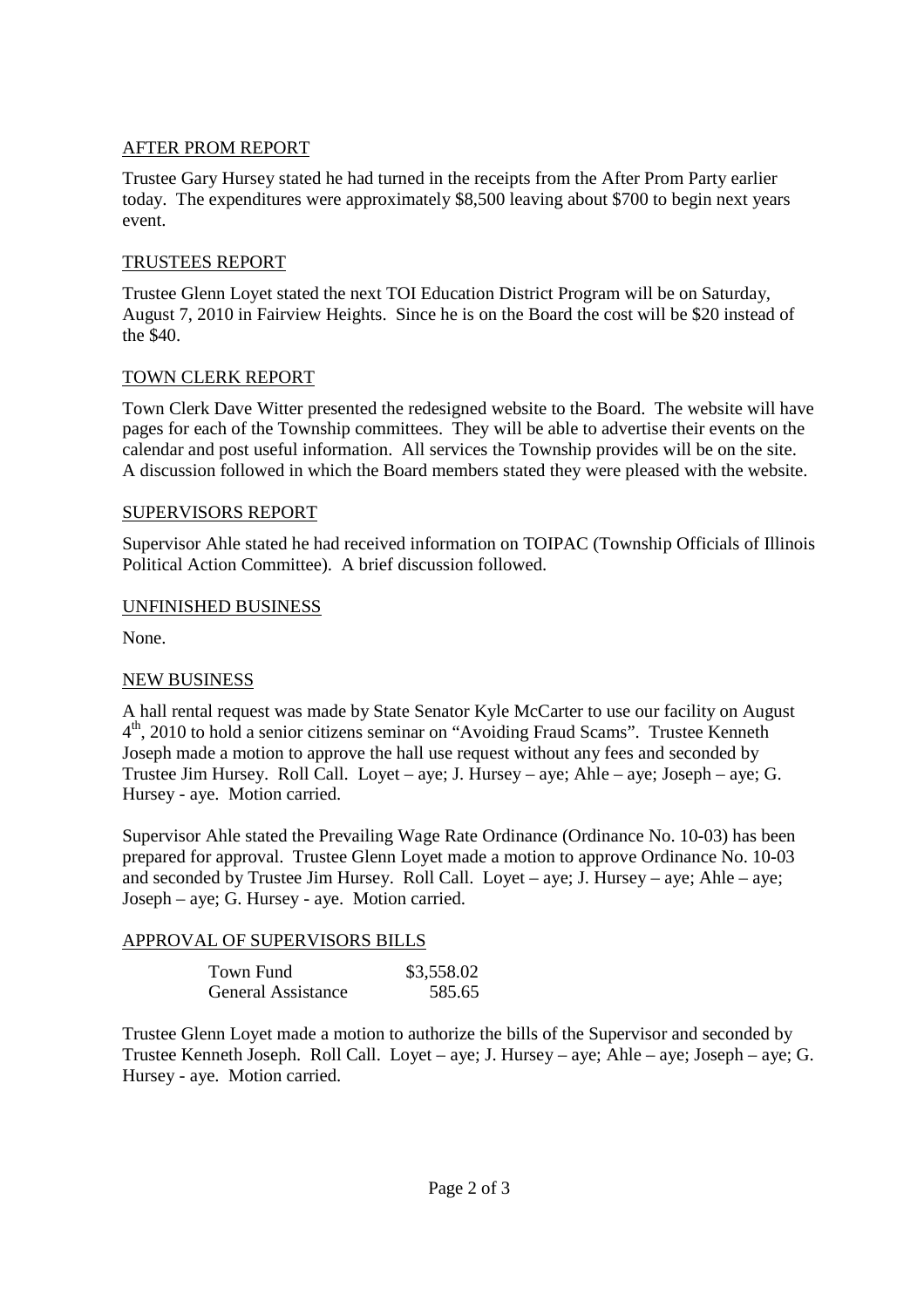## AFTER PROM REPORT

Trustee Gary Hursey stated he had turned in the receipts from the After Prom Party earlier today. The expenditures were approximately \$8,500 leaving about \$700 to begin next years event.

### TRUSTEES REPORT

Trustee Glenn Loyet stated the next TOI Education District Program will be on Saturday, August 7, 2010 in Fairview Heights. Since he is on the Board the cost will be \$20 instead of the \$40.

### TOWN CLERK REPORT

Town Clerk Dave Witter presented the redesigned website to the Board. The website will have pages for each of the Township committees. They will be able to advertise their events on the calendar and post useful information. All services the Township provides will be on the site. A discussion followed in which the Board members stated they were pleased with the website.

### SUPERVISORS REPORT

Supervisor Ahle stated he had received information on TOIPAC (Township Officials of Illinois Political Action Committee). A brief discussion followed.

### UNFINISHED BUSINESS

None.

## NEW BUSINESS

A hall rental request was made by State Senator Kyle McCarter to use our facility on August 4<sup>th</sup>, 2010 to hold a senior citizens seminar on "Avoiding Fraud Scams". Trustee Kenneth Joseph made a motion to approve the hall use request without any fees and seconded by Trustee Jim Hursey. Roll Call. Loyet – aye; J. Hursey – aye; Ahle – aye; Joseph – aye; G. Hursey - aye. Motion carried.

Supervisor Ahle stated the Prevailing Wage Rate Ordinance (Ordinance No. 10-03) has been prepared for approval. Trustee Glenn Loyet made a motion to approve Ordinance No. 10-03 and seconded by Trustee Jim Hursey. Roll Call. Loyet – aye; J. Hursey – aye; Ahle – aye; Joseph – aye; G. Hursey - aye. Motion carried.

## APPROVAL OF SUPERVISORS BILLS

| Town Fund                 | \$3,558.02 |
|---------------------------|------------|
| <b>General Assistance</b> | 585.65     |

Trustee Glenn Loyet made a motion to authorize the bills of the Supervisor and seconded by Trustee Kenneth Joseph. Roll Call. Loyet – aye; J. Hursey – aye; Ahle – aye; Joseph – aye; G. Hursey - aye. Motion carried.